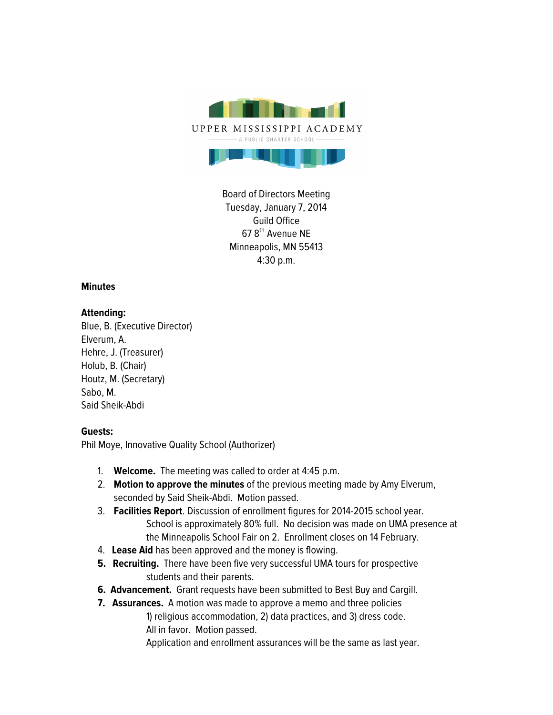

Board of Directors Meeting Tuesday, January 7, 2014 Guild Office 678<sup>th</sup> Avenue NE Minneapolis, MN 55413 4:30 p.m.

## **Minutes**

## **Attending:**

Blue, B. (Executive Director) Elverum, A. Hehre, J. (Treasurer) Holub, B. (Chair) Houtz, M. (Secretary) Sabo, M. Said Sheik-Abdi

## **Guests:**

Phil Moye, Innovative Quality School (Authorizer)

- 1. **Welcome.** The meeting was called to order at 4:45 p.m.
- 2. **Motion to approve the minutes** of the previous meeting made by Amy Elverum, seconded by Said Sheik-Abdi. Motion passed.
- 3. **Facilities Report**. Discussion of enrollment figures for 2014-2015 school year. School is approximately 80% full. No decision was made on UMA presence at the Minneapolis School Fair on 2. Enrollment closes on 14 February.
- 4. **Lease Aid** has been approved and the money is flowing.
- **5. Recruiting.** There have been five very successful UMA tours for prospective students and their parents.
- **6. Advancement.** Grant requests have been submitted to Best Buy and Cargill.
- **7. Assurances.** A motion was made to approve a memo and three policies 1) religious accommodation, 2) data practices, and 3) dress code. All in favor. Motion passed.

Application and enrollment assurances will be the same as last year.